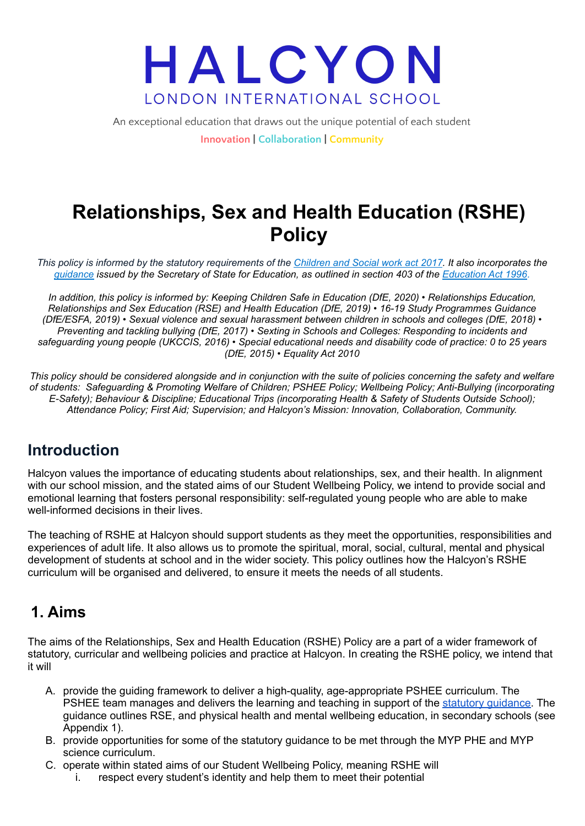An exceptional education that draws out the unique potential of each student

**Innovation | Collaboration | Community**

## **Relationships, Sex and Health Education (RSHE) Policy**

This policy is informed by the statutory requirements of the [Children](http://www.legislation.gov.uk/ukpga/2017/16/section/34/enacted) and Social work act 2017. It also incorporates the [guidance](https://www.gov.uk/government/consultations/relationships-and-sex-education-and-health-education) issued by the Secretary of State for [Education](http://www.legislation.gov.uk/ukpga/1996/56/contents), as outlined in section 403 of the Education Act 1996.

In addition. this policy is informed by: Keeping Children Safe in Education (DfE, 2020) • Relationships Education, *Relationships and Sex Education (RSE) and Health Education (DfE, 2019) • 16-19 Study Programmes Guidance* (DfE/ESFA, 2019) • Sexual violence and sexual harassment between children in schools and colleges (DfE, 2018) • *Preventing and tackling bullying (DfE, 2017) • Sexting in Schools and Colleges: Responding to incidents and* safeguarding young people (UKCCIS, 2016) • Special educational needs and disability code of practice: 0 to 25 years *(DfE, 2015) • Equality Act 2010*

This policy should be considered alongside and in conjunction with the suite of policies concerning the safety and welfare *of students: Safeguarding & Promoting Welfare of Children; PSHEE Policy; Wellbeing Policy; Anti-Bullying (incorporating E-Safety); Behaviour & Discipline; Educational Trips (incorporating Health & Safety of Students Outside School); Attendance Policy; First Aid; Supervision; and Halcyon's Mission: Innovation, Collaboration, Community.*

### **Introduction**

Halcyon values the importance of educating students about relationships, sex, and their health. In alignment with our school mission, and the stated aims of our Student Wellbeing Policy, we intend to provide social and emotional learning that fosters personal responsibility: self-regulated young people who are able to make well-informed decisions in their lives.

The teaching of RSHE at Halcyon should support students as they meet the opportunities, responsibilities and experiences of adult life. It also allows us to promote the spiritual, moral, social, cultural, mental and physical development of students at school and in the wider society. This policy outlines how the Halcyon's RSHE curriculum will be organised and delivered, to ensure it meets the needs of all students.

### **1. Aims**

The aims of the Relationships, Sex and Health Education (RSHE) Policy are a part of a wider framework of statutory, curricular and wellbeing policies and practice at Halcyon. In creating the RSHE policy, we intend that it will

- A. provide the guiding framework to deliver a high-quality, age-appropriate PSHEE curriculum. The PSHEE team manages and delivers the learning and teaching in support of the statutory [guidance.](https://assets.publishing.service.gov.uk/government/uploads/system/uploads/attachment_data/file/908013/Relationships_Education__Relationships_and_Sex_Education__RSE__and_Health_Education.pdf) The guidance outlines RSE, and physical health and mental wellbeing education, in secondary schools (see Appendix 1).
- B. provide opportunities for some of the statutory guidance to be met through the MYP PHE and MYP science curriculum.
- C. operate within stated aims of our Student Wellbeing Policy, meaning RSHE will
	- i. respect every student's identity and help them to meet their potential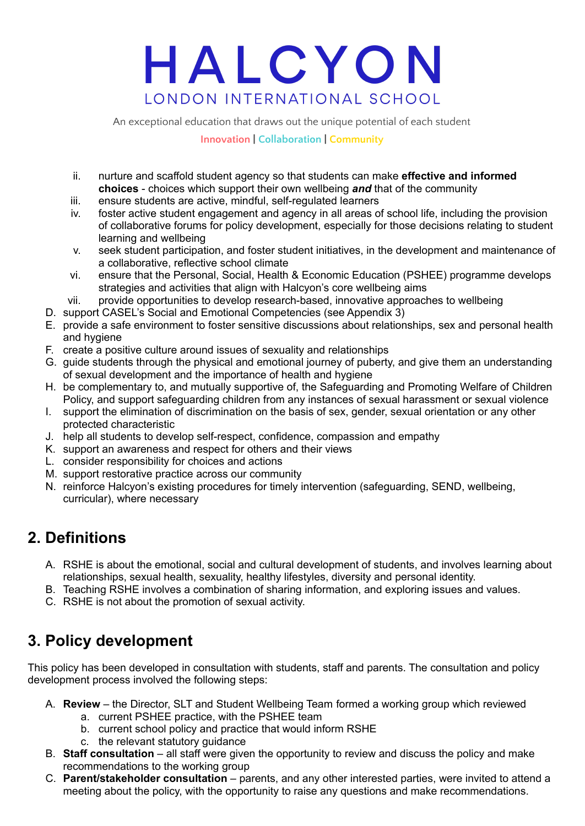An exceptional education that draws out the unique potential of each student

**Innovation | Collaboration | Community**

- ii. nurture and scaffold student agency so that students can make **effective and informed choices** - choices which support their own wellbeing *and* that of the community
- iii. ensure students are active, mindful, self-regulated learners
- iv. foster active student engagement and agency in all areas of school life, including the provision of collaborative forums for policy development, especially for those decisions relating to student learning and wellbeing
- v. seek student participation, and foster student initiatives, in the development and maintenance of a collaborative, reflective school climate
- vi. ensure that the Personal, Social, Health & Economic Education (PSHEE) programme develops strategies and activities that align with Halcyon's core wellbeing aims
- vii. provide opportunities to develop research-based, innovative approaches to wellbeing
- D. support CASEL's Social and Emotional Competencies (see Appendix 3)
- E. provide a safe environment to foster sensitive discussions about relationships, sex and personal health and hygiene
- F. create a positive culture around issues of sexuality and relationships
- G. guide students through the physical and emotional journey of puberty, and give them an understanding of sexual development and the importance of health and hygiene
- H. be complementary to, and mutually supportive of, the Safeguarding and Promoting Welfare of Children Policy, and support safeguarding children from any instances of sexual harassment or sexual violence
- I. support the elimination of discrimination on the basis of sex, gender, sexual orientation or any other protected characteristic
- J. help all students to develop self-respect, confidence, compassion and empathy
- K. support an awareness and respect for others and their views
- L. consider responsibility for choices and actions
- M. support restorative practice across our community
- N. reinforce Halcyon's existing procedures for timely intervention (safeguarding, SEND, wellbeing, curricular), where necessary

### **2. Definitions**

- A. RSHE is about the emotional, social and cultural development of students, and involves learning about relationships, sexual health, sexuality, healthy lifestyles, diversity and personal identity.
- B. Teaching RSHE involves a combination of sharing information, and exploring issues and values.
- C. RSHE is not about the promotion of sexual activity.

## **3. Policy development**

This policy has been developed in consultation with students, staff and parents. The consultation and policy development process involved the following steps:

- A. **Review** the Director, SLT and Student Wellbeing Team formed a working group which reviewed
	- a. current PSHEE practice, with the PSHEE team
	- b. current school policy and practice that would inform RSHE
	- c. the relevant statutory guidance
- B. **Staff consultation** all staff were given the opportunity to review and discuss the policy and make recommendations to the working group
- C. **Parent/stakeholder consultation** parents, and any other interested parties, were invited to attend a meeting about the policy, with the opportunity to raise any questions and make recommendations.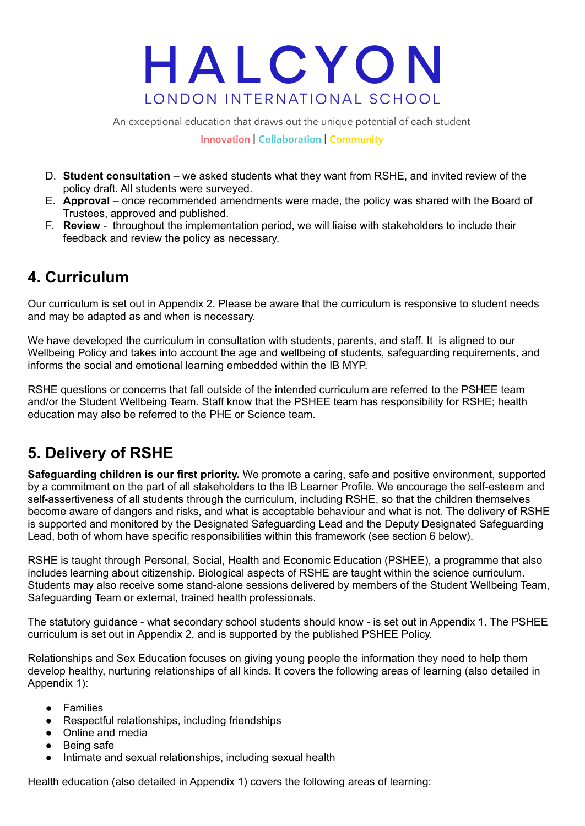An exceptional education that draws out the unique potential of each student

**Innovation | Collaboration | Community**

- D. **Student consultation** we asked students what they want from RSHE, and invited review of the policy draft. All students were surveyed.
- E. **Approval** once recommended amendments were made, the policy was shared with the Board of Trustees, approved and published.
- F. **Review** throughout the implementation period, we will liaise with stakeholders to include their feedback and review the policy as necessary.

### **4. Curriculum**

Our curriculum is set out in Appendix 2. Please be aware that the curriculum is responsive to student needs and may be adapted as and when is necessary.

We have developed the curriculum in consultation with students, parents, and staff. It is aligned to our Wellbeing Policy and takes into account the age and wellbeing of students, safeguarding requirements, and informs the social and emotional learning embedded within the IB MYP.

RSHE questions or concerns that fall outside of the intended curriculum are referred to the PSHEE team and/or the Student Wellbeing Team. Staff know that the PSHEE team has responsibility for RSHE; health education may also be referred to the PHE or Science team.

## **5. Delivery of RSHE**

**Safeguarding children is our first priority.** We promote a caring, safe and positive environment, supported by a commitment on the part of all stakeholders to the IB Learner Profile. We encourage the self-esteem and self-assertiveness of all students through the curriculum, including RSHE, so that the children themselves become aware of dangers and risks, and what is acceptable behaviour and what is not. The delivery of RSHE is supported and monitored by the Designated Safeguarding Lead and the Deputy Designated Safeguarding Lead, both of whom have specific responsibilities within this framework (see section 6 below).

RSHE is taught through Personal, Social, Health and Economic Education (PSHEE), a programme that also includes learning about citizenship. Biological aspects of RSHE are taught within the science curriculum. Students may also receive some stand-alone sessions delivered by members of the Student Wellbeing Team, Safeguarding Team or external, trained health professionals.

The statutory guidance - what secondary school students should know - is set out in Appendix 1. The PSHEE curriculum is set out in Appendix 2, and is supported by the published PSHEE Policy.

Relationships and Sex Education focuses on giving young people the information they need to help them develop healthy, nurturing relationships of all kinds. It covers the following areas of learning (also detailed in Appendix 1):

- Families
- Respectful relationships, including friendships
- Online and media
- Being safe
- Intimate and sexual relationships, including sexual health

Health education (also detailed in Appendix 1) covers the following areas of learning: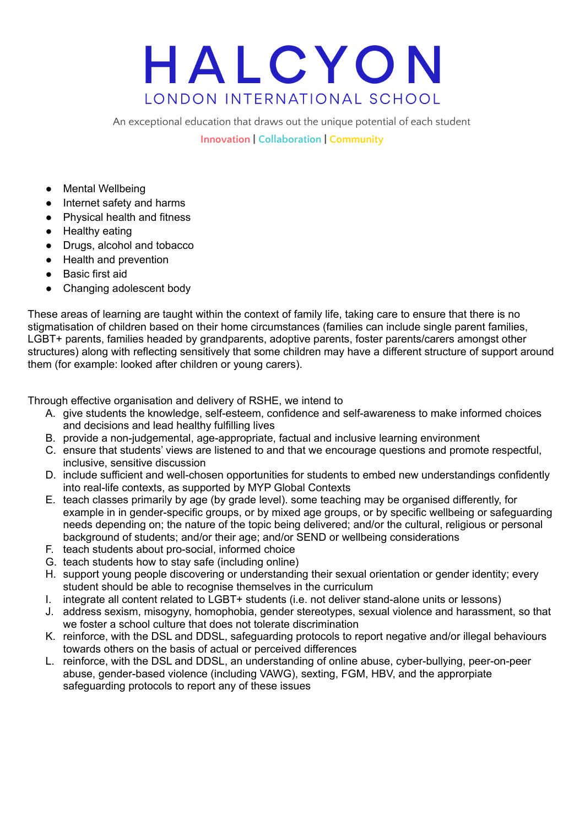An exceptional education that draws out the unique potential of each student

**Innovation | Collaboration | Community**

- Mental Wellbeing
- Internet safety and harms
- Physical health and fitness
- Healthy eating
- Drugs, alcohol and tobacco
- Health and prevention
- Basic first aid
- Changing adolescent body

These areas of learning are taught within the context of family life, taking care to ensure that there is no stigmatisation of children based on their home circumstances (families can include single parent families, LGBT+ parents, families headed by grandparents, adoptive parents, foster parents/carers amongst other structures) along with reflecting sensitively that some children may have a different structure of support around them (for example: looked after children or young carers).

Through effective organisation and delivery of RSHE, we intend to

- A. give students the knowledge, self-esteem, confidence and self-awareness to make informed choices and decisions and lead healthy fulfilling lives
- B. provide a non-judgemental, age-appropriate, factual and inclusive learning environment
- C. ensure that students' views are listened to and that we encourage questions and promote respectful, inclusive, sensitive discussion
- D. include sufficient and well-chosen opportunities for students to embed new understandings confidently into real-life contexts, as supported by MYP Global Contexts
- E. teach classes primarily by age (by grade level). some teaching may be organised differently, for example in in gender-specific groups, or by mixed age groups, or by specific wellbeing or safeguarding needs depending on; the nature of the topic being delivered; and/or the cultural, religious or personal background of students; and/or their age; and/or SEND or wellbeing considerations
- F. teach students about pro-social, informed choice
- G. teach students how to stay safe (including online)
- H. support young people discovering or understanding their sexual orientation or gender identity; every student should be able to recognise themselves in the curriculum
- I. integrate all content related to LGBT+ students (i.e. not deliver stand-alone units or lessons)
- J. address sexism, misogyny, homophobia, gender stereotypes, sexual violence and harassment, so that we foster a school culture that does not tolerate discrimination
- K. reinforce, with the DSL and DDSL, safeguarding protocols to report negative and/or illegal behaviours towards others on the basis of actual or perceived differences
- L. reinforce, with the DSL and DDSL, an understanding of online abuse, cyber-bullying, peer-on-peer abuse, gender-based violence (including VAWG), sexting, FGM, HBV, and the approrpiate safeguarding protocols to report any of these issues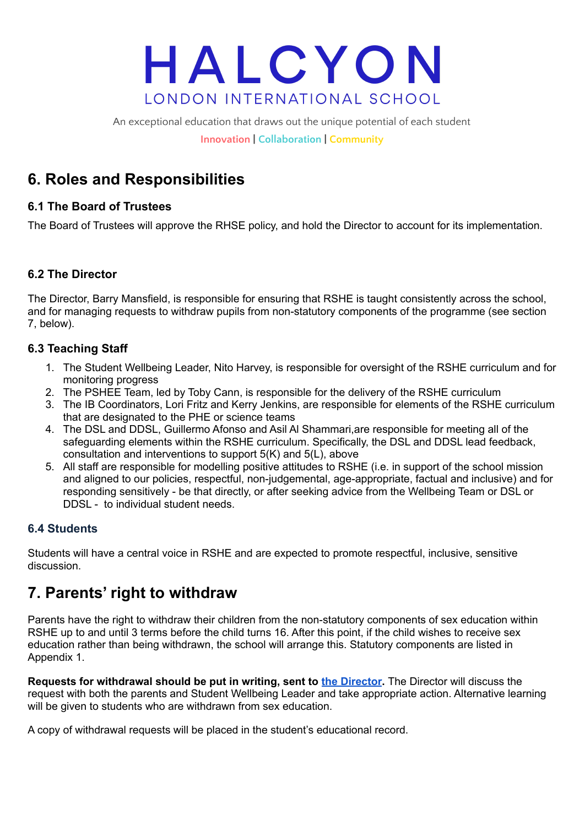

An exceptional education that draws out the unique potential of each student **Innovation | Collaboration | Community**

### **6. Roles and Responsibilities**

#### **6.1 The Board of Trustees**

The Board of Trustees will approve the RHSE policy, and hold the Director to account for its implementation.

#### **6.2 The Director**

The Director, Barry Mansfield, is responsible for ensuring that RSHE is taught consistently across the school, and for managing requests to withdraw pupils from non-statutory components of the programme (see section 7, below).

#### **6.3 Teaching Staff**

- 1. The Student Wellbeing Leader, Nito Harvey, is responsible for oversight of the RSHE curriculum and for monitoring progress
- 2. The PSHEE Team, led by Toby Cann, is responsible for the delivery of the RSHE curriculum
- 3. The IB Coordinators, Lori Fritz and Kerry Jenkins, are responsible for elements of the RSHE curriculum that are designated to the PHE or science teams
- 4. The DSL and DDSL, Guillermo Afonso and Asil Al Shammari,are responsible for meeting all of the safeguarding elements within the RSHE curriculum. Specifically, the DSL and DDSL lead feedback, consultation and interventions to support 5(K) and 5(L), above
- 5. All staff are responsible for modelling positive attitudes to RSHE (i.e. in support of the school mission and aligned to our policies, respectful, non-judgemental, age-appropriate, factual and inclusive) and for responding sensitively - be that directly, or after seeking advice from the Wellbeing Team or DSL or DDSL - to individual student needs.

#### **6.4 Students**

Students will have a central voice in RSHE and are expected to promote respectful, inclusive, sensitive discussion.

### **7. Parents' right to withdraw**

Parents have the right to withdraw their children from the non-statutory components of sex education within RSHE up to and until 3 terms before the child turns 16. After this point, if the child wishes to receive sex education rather than being withdrawn, the school will arrange this. Statutory components are listed in Appendix 1.

**Requests for withdrawal should be put in writing, sent to the [Director](mailto:director@halcyonschool.com).** The Director will discuss the request with both the parents and Student Wellbeing Leader and take appropriate action. Alternative learning will be given to students who are withdrawn from sex education.

A copy of withdrawal requests will be placed in the student's educational record.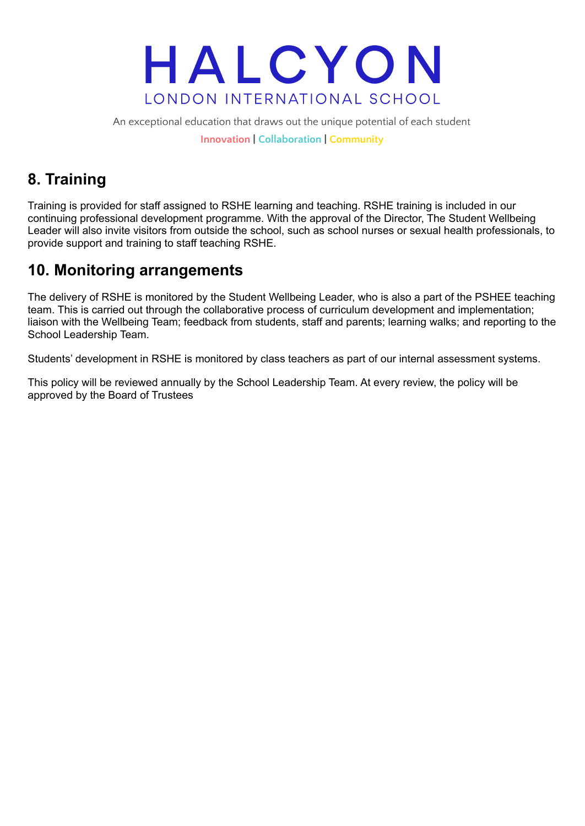

An exceptional education that draws out the unique potential of each student

**Innovation | Collaboration | Community**

## **8. Training**

Training is provided for staff assigned to RSHE learning and teaching. RSHE training is included in our continuing professional development programme. With the approval of the Director, The Student Wellbeing Leader will also invite visitors from outside the school, such as school nurses or sexual health professionals, to provide support and training to staff teaching RSHE.

### **10. Monitoring arrangements**

The delivery of RSHE is monitored by the Student Wellbeing Leader, who is also a part of the PSHEE teaching team. This is carried out through the collaborative process of curriculum development and implementation; liaison with the Wellbeing Team; feedback from students, staff and parents; learning walks; and reporting to the School Leadership Team.

Students' development in RSHE is monitored by class teachers as part of our internal assessment systems.

This policy will be reviewed annually by the School Leadership Team. At every review, the policy will be approved by the Board of Trustees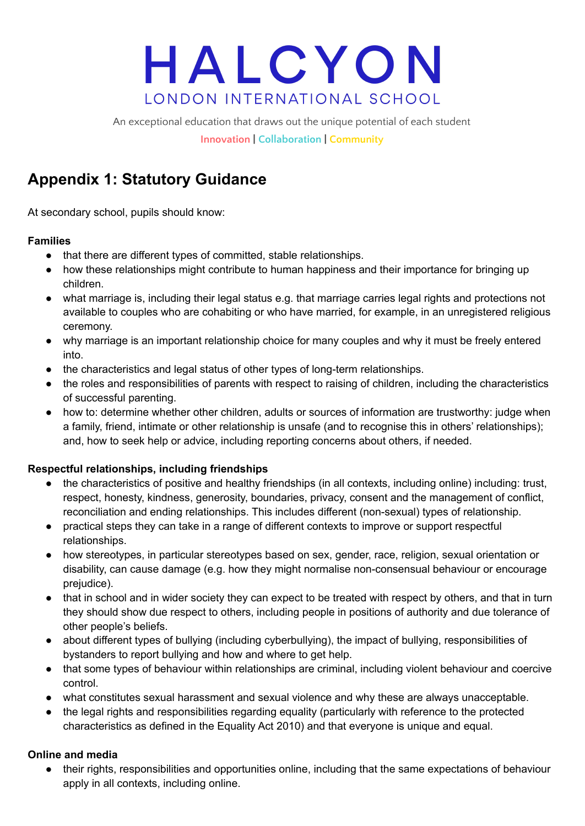An exceptional education that draws out the unique potential of each student **Innovation | Collaboration | Community**

## **Appendix 1: Statutory Guidance**

At secondary school, pupils should know:

#### **Families**

- that there are different types of committed, stable relationships.
- how these relationships might contribute to human happiness and their importance for bringing up children.
- what marriage is, including their legal status e.g. that marriage carries legal rights and protections not available to couples who are cohabiting or who have married, for example, in an unregistered religious ceremony.
- why marriage is an important relationship choice for many couples and why it must be freely entered into.
- the characteristics and legal status of other types of long-term relationships.
- the roles and responsibilities of parents with respect to raising of children, including the characteristics of successful parenting.
- how to: determine whether other children, adults or sources of information are trustworthy: judge when a family, friend, intimate or other relationship is unsafe (and to recognise this in others' relationships); and, how to seek help or advice, including reporting concerns about others, if needed.

#### **Respectful relationships, including friendships**

- the characteristics of positive and healthy friendships (in all contexts, including online) including: trust, respect, honesty, kindness, generosity, boundaries, privacy, consent and the management of conflict, reconciliation and ending relationships. This includes different (non-sexual) types of relationship.
- practical steps they can take in a range of different contexts to improve or support respectful relationships.
- how stereotypes, in particular stereotypes based on sex, gender, race, religion, sexual orientation or disability, can cause damage (e.g. how they might normalise non-consensual behaviour or encourage prejudice).
- that in school and in wider society they can expect to be treated with respect by others, and that in turn they should show due respect to others, including people in positions of authority and due tolerance of other people's beliefs.
- about different types of bullying (including cyberbullying), the impact of bullying, responsibilities of bystanders to report bullying and how and where to get help.
- that some types of behaviour within relationships are criminal, including violent behaviour and coercive control.
- what constitutes sexual harassment and sexual violence and why these are always unacceptable.
- the legal rights and responsibilities regarding equality (particularly with reference to the protected characteristics as defined in the Equality Act 2010) and that everyone is unique and equal.

#### **Online and media**

● their rights, responsibilities and opportunities online, including that the same expectations of behaviour apply in all contexts, including online.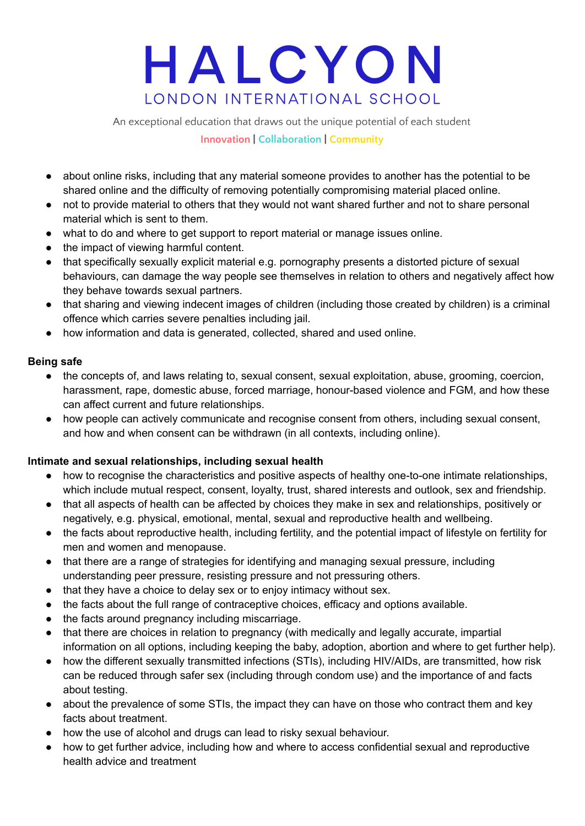An exceptional education that draws out the unique potential of each student

**Innovation | Collaboration | Community**

- about online risks, including that any material someone provides to another has the potential to be shared online and the difficulty of removing potentially compromising material placed online.
- not to provide material to others that they would not want shared further and not to share personal material which is sent to them.
- what to do and where to get support to report material or manage issues online.
- the impact of viewing harmful content.
- that specifically sexually explicit material e.g. pornography presents a distorted picture of sexual behaviours, can damage the way people see themselves in relation to others and negatively affect how they behave towards sexual partners.
- that sharing and viewing indecent images of children (including those created by children) is a criminal offence which carries severe penalties including jail.
- how information and data is generated, collected, shared and used online.

#### **Being safe**

- the concepts of, and laws relating to, sexual consent, sexual exploitation, abuse, grooming, coercion, harassment, rape, domestic abuse, forced marriage, honour-based violence and FGM, and how these can affect current and future relationships.
- how people can actively communicate and recognise consent from others, including sexual consent, and how and when consent can be withdrawn (in all contexts, including online).

#### **Intimate and sexual relationships, including sexual health**

- how to recognise the characteristics and positive aspects of healthy one-to-one intimate relationships, which include mutual respect, consent, loyalty, trust, shared interests and outlook, sex and friendship.
- that all aspects of health can be affected by choices they make in sex and relationships, positively or negatively, e.g. physical, emotional, mental, sexual and reproductive health and wellbeing.
- the facts about reproductive health, including fertility, and the potential impact of lifestyle on fertility for men and women and menopause.
- that there are a range of strategies for identifying and managing sexual pressure, including understanding peer pressure, resisting pressure and not pressuring others.
- that they have a choice to delay sex or to enjoy intimacy without sex.
- the facts about the full range of contraceptive choices, efficacy and options available.
- the facts around pregnancy including miscarriage.
- that there are choices in relation to pregnancy (with medically and legally accurate, impartial information on all options, including keeping the baby, adoption, abortion and where to get further help).
- how the different sexually transmitted infections (STIs), including HIV/AIDs, are transmitted, how risk can be reduced through safer sex (including through condom use) and the importance of and facts about testing.
- about the prevalence of some STIs, the impact they can have on those who contract them and key facts about treatment.
- how the use of alcohol and drugs can lead to risky sexual behaviour.
- how to get further advice, including how and where to access confidential sexual and reproductive health advice and treatment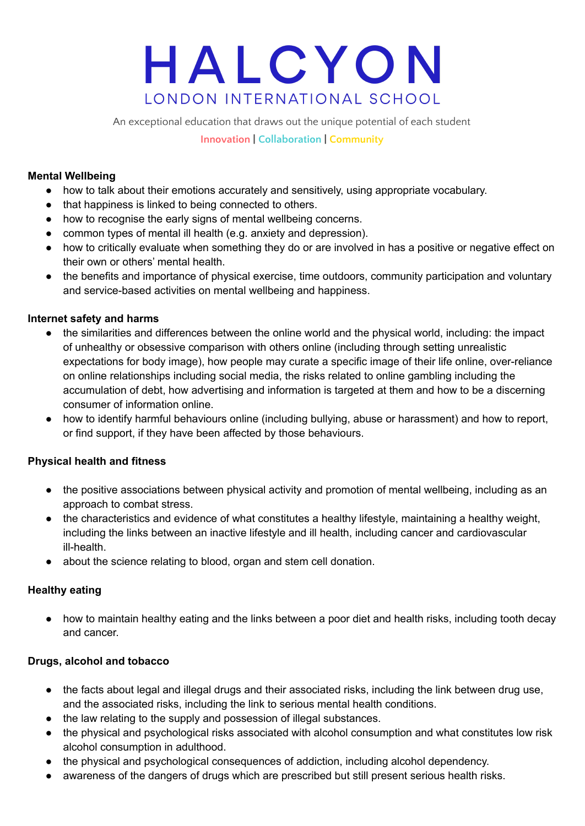An exceptional education that draws out the unique potential of each student

**Innovation | Collaboration | Community**

#### **Mental Wellbeing**

- how to talk about their emotions accurately and sensitively, using appropriate vocabulary.
- that happiness is linked to being connected to others.
- how to recognise the early signs of mental wellbeing concerns.
- common types of mental ill health (e.g. anxiety and depression).
- how to critically evaluate when something they do or are involved in has a positive or negative effect on their own or others' mental health.
- the benefits and importance of physical exercise, time outdoors, community participation and voluntary and service-based activities on mental wellbeing and happiness.

#### **Internet safety and harms**

- the similarities and differences between the online world and the physical world, including: the impact of unhealthy or obsessive comparison with others online (including through setting unrealistic expectations for body image), how people may curate a specific image of their life online, over-reliance on online relationships including social media, the risks related to online gambling including the accumulation of debt, how advertising and information is targeted at them and how to be a discerning consumer of information online.
- how to identify harmful behaviours online (including bullying, abuse or harassment) and how to report, or find support, if they have been affected by those behaviours.

#### **Physical health and fitness**

- the positive associations between physical activity and promotion of mental wellbeing, including as an approach to combat stress.
- the characteristics and evidence of what constitutes a healthy lifestyle, maintaining a healthy weight, including the links between an inactive lifestyle and ill health, including cancer and cardiovascular ill-health.
- about the science relating to blood, organ and stem cell donation.

#### **Healthy eating**

● how to maintain healthy eating and the links between a poor diet and health risks, including tooth decay and cancer.

#### **Drugs, alcohol and tobacco**

- the facts about legal and illegal drugs and their associated risks, including the link between drug use, and the associated risks, including the link to serious mental health conditions.
- the law relating to the supply and possession of illegal substances.
- the physical and psychological risks associated with alcohol consumption and what constitutes low risk alcohol consumption in adulthood.
- the physical and psychological consequences of addiction, including alcohol dependency.
- awareness of the dangers of drugs which are prescribed but still present serious health risks.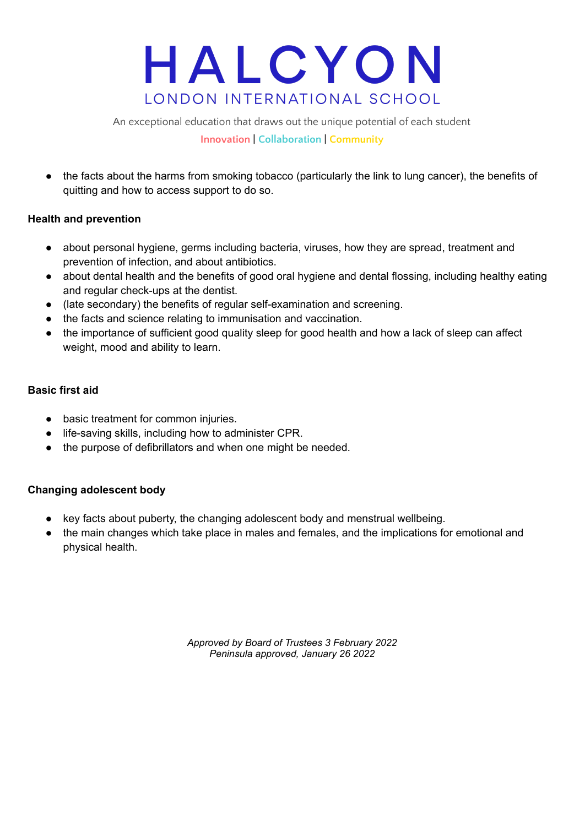An exceptional education that draws out the unique potential of each student

**Innovation | Collaboration | Community**

● the facts about the harms from smoking tobacco (particularly the link to lung cancer), the benefits of quitting and how to access support to do so.

#### **Health and prevention**

- about personal hygiene, germs including bacteria, viruses, how they are spread, treatment and prevention of infection, and about antibiotics.
- about dental health and the benefits of good oral hygiene and dental flossing, including healthy eating and regular check-ups at the dentist.
- (late secondary) the benefits of regular self-examination and screening.
- the facts and science relating to immunisation and vaccination.
- the importance of sufficient good quality sleep for good health and how a lack of sleep can affect weight, mood and ability to learn.

#### **Basic first aid**

- basic treatment for common injuries.
- life-saving skills, including how to administer CPR.
- the purpose of defibrillators and when one might be needed.

#### **Changing adolescent body**

- key facts about puberty, the changing adolescent body and menstrual wellbeing.
- the main changes which take place in males and females, and the implications for emotional and physical health.

*Approved by Board of Trustees 3 February 2022 Peninsula approved, January 26 2022*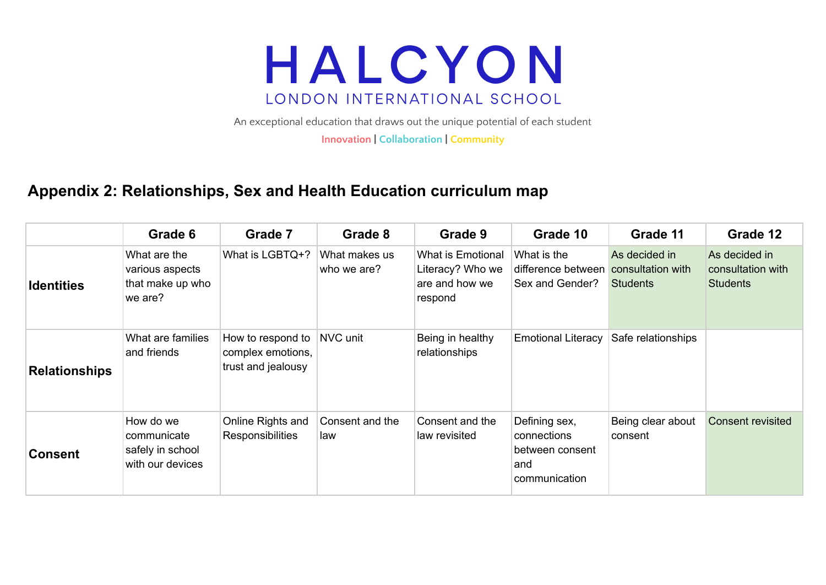

An exceptional education that draws out the unique potential of each student

**Innovation | Collaboration | Community**

### **Appendix 2: Relationships, Sex and Health Education curriculum map**

|                      | Grade 6                                                          | Grade 7                                                                   | Grade 8                      | Grade 9                                                                   | Grade 10                                                                | Grade 11                         | Grade 12                                              |
|----------------------|------------------------------------------------------------------|---------------------------------------------------------------------------|------------------------------|---------------------------------------------------------------------------|-------------------------------------------------------------------------|----------------------------------|-------------------------------------------------------|
| <b>Identities</b>    | What are the<br>various aspects<br>that make up who<br>we are?   | What is LGBTQ+?                                                           | What makes us<br>who we are? | <b>What is Emotional</b><br>Literacy? Who we<br>are and how we<br>respond | What is the<br>difference between consultation with<br>Sex and Gender?  | As decided in<br><b>Students</b> | As decided in<br>consultation with<br><b>Students</b> |
| <b>Relationships</b> | What are families<br>and friends                                 | How to respond to $ NVC $ unit<br>complex emotions,<br>trust and jealousy |                              | Being in healthy<br>relationships                                         | <b>Emotional Literacy</b>                                               | Safe relationships               |                                                       |
| <b>Consent</b>       | How do we<br>communicate<br>safely in school<br>with our devices | Online Rights and<br>Responsibilities                                     | Consent and the<br>law       | Consent and the<br>law revisited                                          | Defining sex,<br>connections<br>between consent<br>and<br>communication | Being clear about<br>consent     | <b>Consent revisited</b>                              |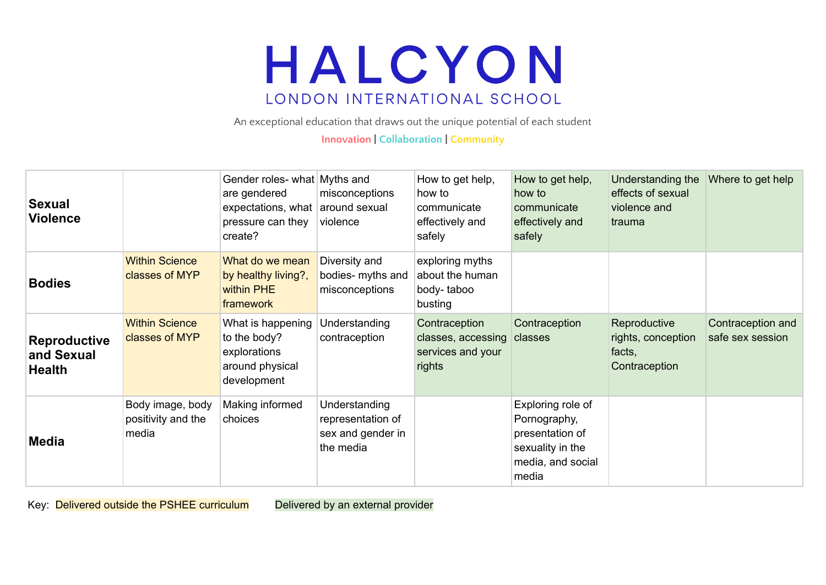An exceptional education that draws out the unique potential of each student

**Innovation | Collaboration | Community**

| <b>Sexual</b><br><b>Violence</b>                   |                                                 | Gender roles- what Myths and<br>are gendered<br>expectations, what $ $ around sexual<br>pressure can they<br>create? | misconceptions<br>violence                                           | How to get help,<br>how to<br>communicate<br>effectively and<br>safely | How to get help,<br>how to<br>communicate<br>effectively and<br>safely                                 | Understanding the<br>effects of sexual<br>violence and<br>trauma | Where to get help                     |
|----------------------------------------------------|-------------------------------------------------|----------------------------------------------------------------------------------------------------------------------|----------------------------------------------------------------------|------------------------------------------------------------------------|--------------------------------------------------------------------------------------------------------|------------------------------------------------------------------|---------------------------------------|
| <b>Bodies</b>                                      | <b>Within Science</b><br>classes of MYP         | What do we mean<br>by healthy living?,<br>within PHE<br>framework                                                    | Diversity and<br>bodies- myths and<br>misconceptions                 | exploring myths<br>about the human<br>body-taboo<br>busting            |                                                                                                        |                                                                  |                                       |
| <b>Reproductive</b><br>and Sexual<br><b>Health</b> | <b>Within Science</b><br>classes of MYP         | What is happening<br>to the body?<br>explorations<br>around physical<br>development                                  | Understanding<br>contraception                                       | Contraception<br>classes, accessing<br>services and your<br>rights     | Contraception<br><b>classes</b>                                                                        | Reproductive<br>rights, conception<br>facts,<br>Contraception    | Contraception and<br>safe sex session |
| <b>Media</b>                                       | Body image, body<br>positivity and the<br>media | Making informed<br>choices                                                                                           | Understanding<br>representation of<br>sex and gender in<br>the media |                                                                        | Exploring role of<br>Pornography,<br>presentation of<br>sexuality in the<br>media, and social<br>media |                                                                  |                                       |

Key: **Delivered outside the PSHEE curriculum** Delivered by an external provider